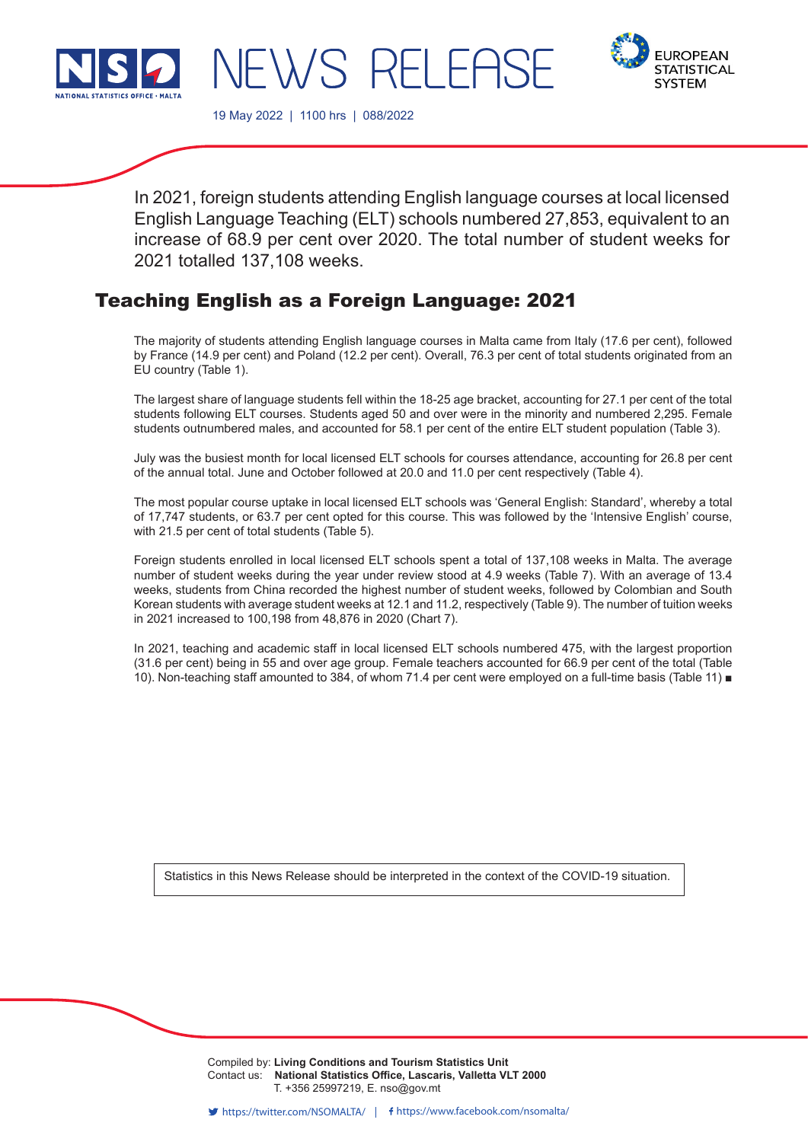



19 May 2022 | 1100 hrs | 088/2022

WS RELEE

In 2021, foreign students attending English language courses at local licensed English Language Teaching (ELT) schools numbered 27,853, equivalent to an increase of 68.9 per cent over 2020. The total number of student weeks for 2021 totalled 137,108 weeks.

# Teaching English as a Foreign Language: 2021

The majority of students attending English language courses in Malta came from Italy (17.6 per cent), followed by France (14.9 per cent) and Poland (12.2 per cent). Overall, 76.3 per cent of total students originated from an EU country (Table 1).

The largest share of language students fell within the 18-25 age bracket, accounting for 27.1 per cent of the total students following ELT courses. Students aged 50 and over were in the minority and numbered 2,295. Female students outnumbered males, and accounted for 58.1 per cent of the entire ELT student population (Table 3).

July was the busiest month for local licensed ELT schools for courses attendance, accounting for 26.8 per cent of the annual total. June and October followed at 20.0 and 11.0 per cent respectively (Table 4).

The most popular course uptake in local licensed ELT schools was 'General English: Standard', whereby a total of 17,747 students, or 63.7 per cent opted for this course. This was followed by the 'Intensive English' course, with 21.5 per cent of total students (Table 5).

Foreign students enrolled in local licensed ELT schools spent a total of 137,108 weeks in Malta. The average number of student weeks during the year under review stood at 4.9 weeks (Table 7). With an average of 13.4 weeks, students from China recorded the highest number of student weeks, followed by Colombian and South Korean students with average student weeks at 12.1 and 11.2, respectively (Table 9). The number of tuition weeks in 2021 increased to 100,198 from 48,876 in 2020 (Chart 7).

In 2021, teaching and academic staff in local licensed ELT schools numbered 475, with the largest proportion (31.6 per cent) being in 55 and over age group. Female teachers accounted for 66.9 per cent of the total (Table 10). Non-teaching staff amounted to 384, of whom 71.4 per cent were employed on a full-time basis (Table 11) ■

Statistics in this News Release should be interpreted in the context of the COVID-19 situation.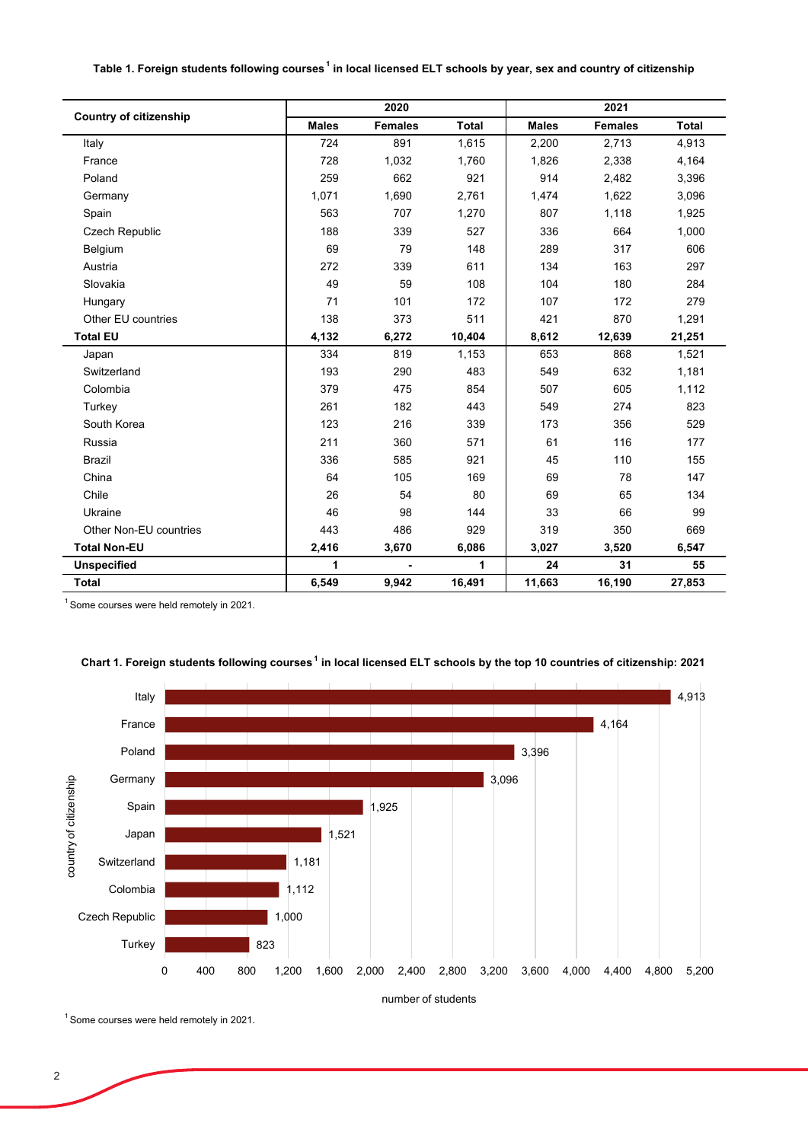#### **Table 1. Foreign students following courses<sup>1</sup> in local licensed ELT schools by year, sex and country of citizenship**

| <b>Country of citizenship</b> |              | 2020           |              |              | 2021           |              |
|-------------------------------|--------------|----------------|--------------|--------------|----------------|--------------|
|                               | <b>Males</b> | <b>Females</b> | <b>Total</b> | <b>Males</b> | <b>Females</b> | <b>Total</b> |
| Italy                         | 724          | 891            | 1,615        | 2,200        | 2,713          | 4,913        |
| France                        | 728          | 1,032          | 1,760        | 1,826        | 2,338          | 4,164        |
| Poland                        | 259          | 662            | 921          | 914          | 2,482          | 3,396        |
| Germany                       | 1,071        | 1,690          | 2,761        | 1,474        | 1,622          | 3,096        |
| Spain                         | 563          | 707            | 1,270        | 807          | 1,118          | 1,925        |
| <b>Czech Republic</b>         | 188          | 339            | 527          | 336          | 664            | 1,000        |
| Belgium                       | 69           | 79             | 148          | 289          | 317            | 606          |
| Austria                       | 272          | 339            | 611          | 134          | 163            | 297          |
| Slovakia                      | 49           | 59             | 108          | 104          | 180            | 284          |
| Hungary                       | 71           | 101            | 172          | 107          | 172            | 279          |
| Other EU countries            | 138          | 373            | 511          | 421          | 870            | 1,291        |
| <b>Total EU</b>               | 4,132        | 6,272          | 10,404       | 8,612        | 12,639         | 21,251       |
| Japan                         | 334          | 819            | 1,153        | 653          | 868            | 1,521        |
| Switzerland                   | 193          | 290            | 483          | 549          | 632            | 1,181        |
| Colombia                      | 379          | 475            | 854          | 507          | 605            | 1,112        |
| Turkey                        | 261          | 182            | 443          | 549          | 274            | 823          |
| South Korea                   | 123          | 216            | 339          | 173          | 356            | 529          |
| Russia                        | 211          | 360            | 571          | 61           | 116            | 177          |
| <b>Brazil</b>                 | 336          | 585            | 921          | 45           | 110            | 155          |
| China                         | 64           | 105            | 169          | 69           | 78             | 147          |
| Chile                         | 26           | 54             | 80           | 69           | 65             | 134          |
| Ukraine                       | 46           | 98             | 144          | 33           | 66             | 99           |
| Other Non-EU countries        | 443          | 486            | 929          | 319          | 350            | 669          |
| <b>Total Non-EU</b>           | 2,416        | 3,670          | 6,086        | 3,027        | 3,520          | 6,547        |
| <b>Unspecified</b>            | 1            |                | 1            | 24           | 31             | 55           |
| <b>Total</b>                  | 6,549        | 9,942          | 16,491       | 11,663       | 16,190         | 27,853       |

<sup>1</sup> Some courses were held remotely in 2021.



## **Chart 1. Foreign students following courses<sup>1</sup> in local licensed ELT schools by the top 10 countries of citizenship: 2021**

<sup>1</sup> Some courses were held remotely in 2021.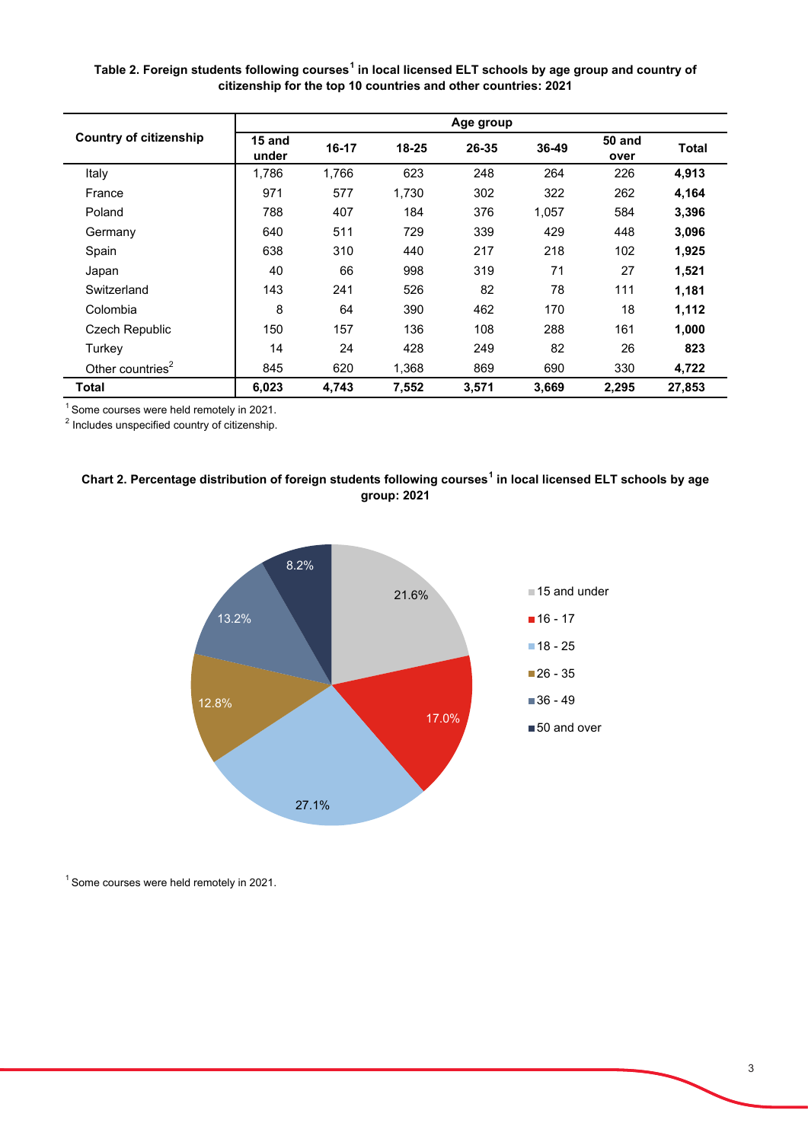**Table 2. Foreign students following courses<sup>1</sup> in local licensed ELT schools by age group and country of citizenship for the top 10 countries and other countries: 2021**

|                               |                 |           |           | Age group |       |                       |        |
|-------------------------------|-----------------|-----------|-----------|-----------|-------|-----------------------|--------|
| <b>Country of citizenship</b> | 15 and<br>under | $16 - 17$ | $18 - 25$ | 26-35     | 36-49 | <b>50 and</b><br>over | Total  |
| Italy                         | 1,786           | 1,766     | 623       | 248       | 264   | 226                   | 4,913  |
| France                        | 971             | 577       | 1,730     | 302       | 322   | 262                   | 4,164  |
| Poland                        | 788             | 407       | 184       | 376       | 1,057 | 584                   | 3,396  |
| Germany                       | 640             | 511       | 729       | 339       | 429   | 448                   | 3,096  |
| Spain                         | 638             | 310       | 440       | 217       | 218   | 102                   | 1,925  |
| Japan                         | 40              | 66        | 998       | 319       | 71    | 27                    | 1,521  |
| Switzerland                   | 143             | 241       | 526       | 82        | 78    | 111                   | 1,181  |
| Colombia                      | 8               | 64        | 390       | 462       | 170   | 18                    | 1,112  |
| Czech Republic                | 150             | 157       | 136       | 108       | 288   | 161                   | 1,000  |
| Turkey                        | 14              | 24        | 428       | 249       | 82    | 26                    | 823    |
| Other countries <sup>2</sup>  | 845             | 620       | 1,368     | 869       | 690   | 330                   | 4,722  |
| Total                         | 6,023           | 4,743     | 7,552     | 3,571     | 3,669 | 2,295                 | 27,853 |

<sup>1</sup> Some courses were held remotely in 2021.

 $2$  Includes unspecified country of citizenship.

# **Chart 2. Percentage distribution of foreign students following courses<sup>1</sup> in local licensed ELT schools by age group: 2021**



 $1$  Some courses were held remotely in 2021.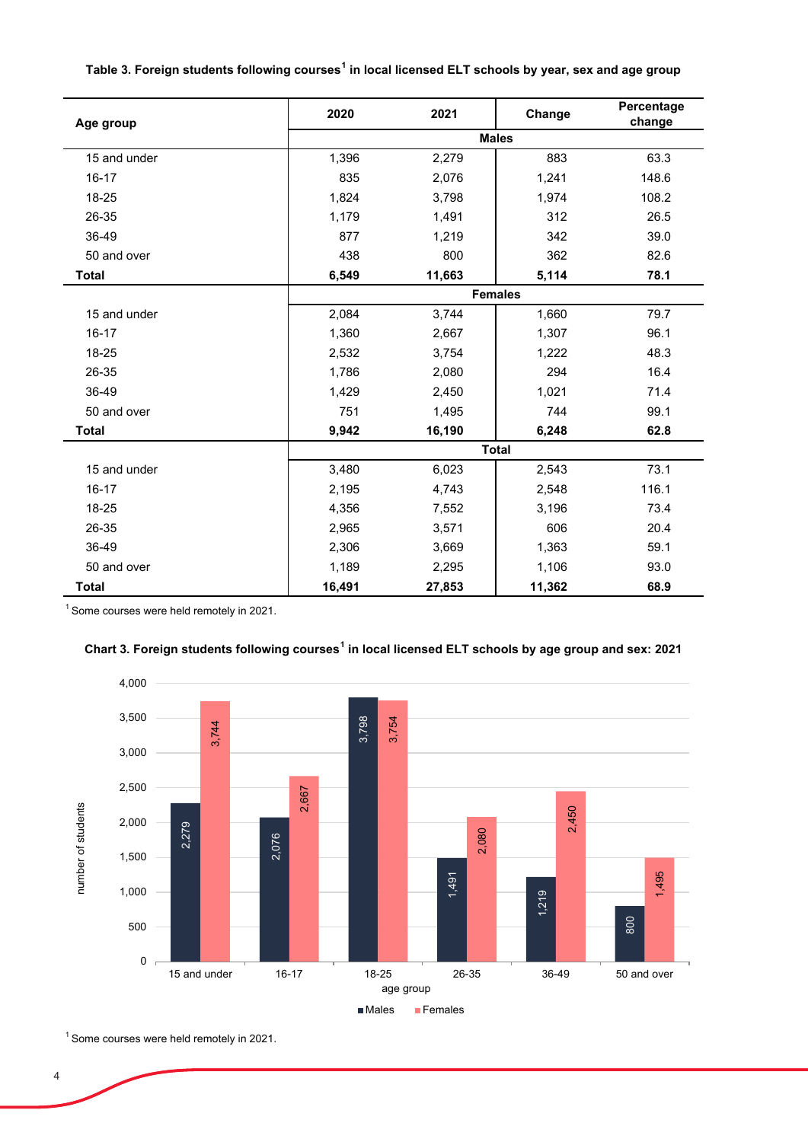|  | Table 3. Foreign students following courses $^{\rm 1}$ in local licensed ELT schools by year, sex and age group |
|--|-----------------------------------------------------------------------------------------------------------------|
|--|-----------------------------------------------------------------------------------------------------------------|

| Age group    | 2020   | 2021   | Change         | Percentage<br>change |
|--------------|--------|--------|----------------|----------------------|
|              |        |        | <b>Males</b>   |                      |
| 15 and under | 1,396  | 2,279  | 883            | 63.3                 |
| $16 - 17$    | 835    | 2,076  | 1,241          | 148.6                |
| 18-25        | 1,824  | 3,798  | 1,974          | 108.2                |
| 26-35        | 1,179  | 1,491  | 312            | 26.5                 |
| 36-49        | 877    | 1,219  | 342            | 39.0                 |
| 50 and over  | 438    | 800    | 362            | 82.6                 |
| <b>Total</b> | 6,549  | 11,663 | 5,114          | 78.1                 |
|              |        |        | <b>Females</b> |                      |
| 15 and under | 2,084  | 3,744  | 1,660          | 79.7                 |
| $16 - 17$    | 1,360  | 2,667  | 1,307          | 96.1                 |
| 18-25        | 2,532  | 3,754  | 1,222          | 48.3                 |
| 26-35        | 1,786  | 2,080  | 294            | 16.4                 |
| 36-49        | 1,429  | 2,450  | 1,021          | 71.4                 |
| 50 and over  | 751    | 1,495  | 744            | 99.1                 |
| <b>Total</b> | 9,942  | 16,190 | 6,248          | 62.8                 |
|              |        |        | <b>Total</b>   |                      |
| 15 and under | 3,480  | 6,023  | 2,543          | 73.1                 |
| $16 - 17$    | 2,195  | 4,743  | 2,548          | 116.1                |
| 18-25        | 4,356  | 7,552  | 3,196          | 73.4                 |
| 26-35        | 2,965  | 3,571  | 606            | 20.4                 |
| 36-49        | 2,306  | 3,669  | 1,363          | 59.1                 |
| 50 and over  | 1,189  | 2,295  | 1,106          | 93.0                 |
| <b>Total</b> | 16,491 | 27,853 | 11,362         | 68.9                 |

<sup>1</sup> Some courses were held remotely in 2021.





1 Some courses were held remotely in 2021.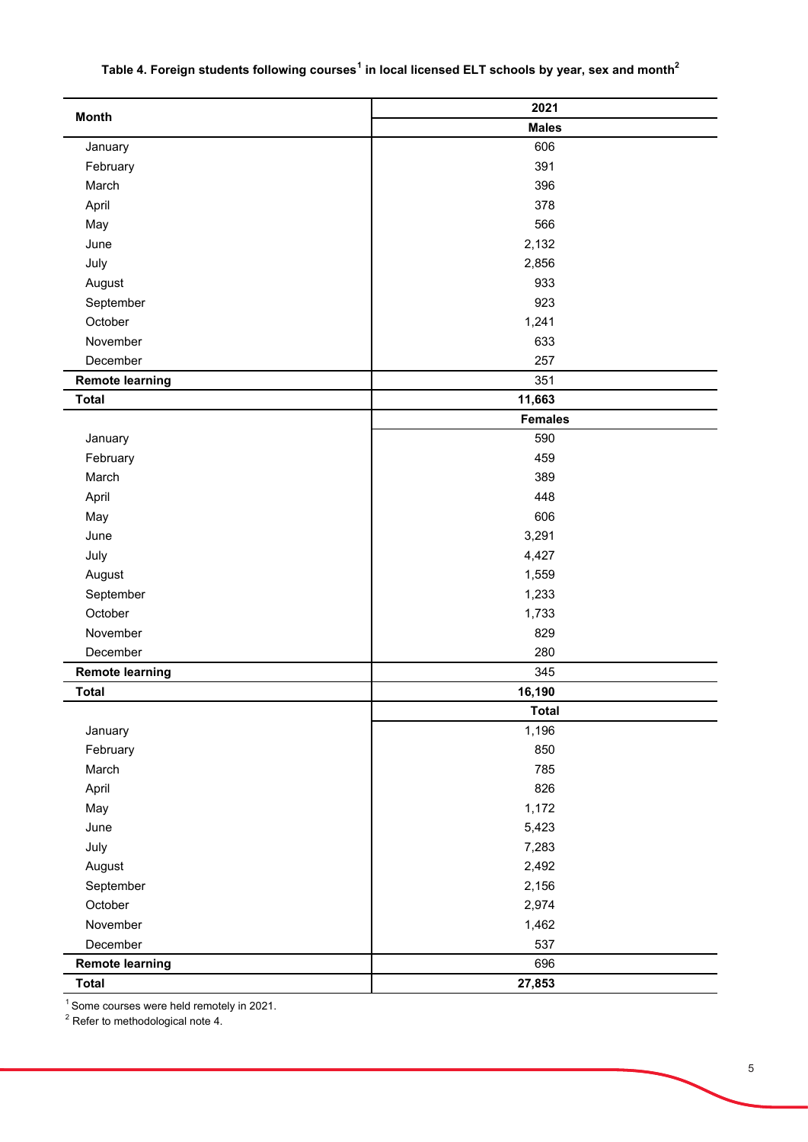## **Table 4. Foreign students following courses<sup>1</sup> in local licensed ELT schools by year, sex and month<sup>2</sup>**

|                        | 2021           |
|------------------------|----------------|
| <b>Month</b>           | <b>Males</b>   |
| January                | 606            |
| February               | 391            |
| March                  | 396            |
| April                  | 378            |
| May                    | 566            |
| June                   | 2,132          |
| July                   | 2,856          |
| August                 | 933            |
| September              | 923            |
| October                | 1,241          |
| November               | 633            |
| December               | 257            |
| <b>Remote learning</b> | 351            |
| <b>Total</b>           | 11,663         |
|                        | <b>Females</b> |
| January                | 590            |
| February               | 459            |
| March                  | 389            |
| April                  | 448            |
| May                    | 606            |
| June                   | 3,291          |
| July                   | 4,427          |
| August                 | 1,559          |
| September              | 1,233          |
| October                | 1,733          |
| November               | 829            |
| December               | 280            |
| <b>Remote learning</b> | 345            |
| <b>Total</b>           | 16,190         |
|                        | <b>Total</b>   |
| January                | 1,196          |
| February               | 850            |
| March                  | 785            |
| April                  | 826            |
| May                    | 1,172          |
| June                   | 5,423          |
| July                   | 7,283          |
| August                 | 2,492          |
| September              | 2,156          |
| October                | 2,974          |
| November               | 1,462          |
| December               | 537            |
| <b>Remote learning</b> | 696            |
| <b>Total</b>           | 27,853         |
|                        |                |

 $^{\rm 1}$ Some courses were held remotely in 2021.<br><sup>2</sup> Refer to methodological note 4.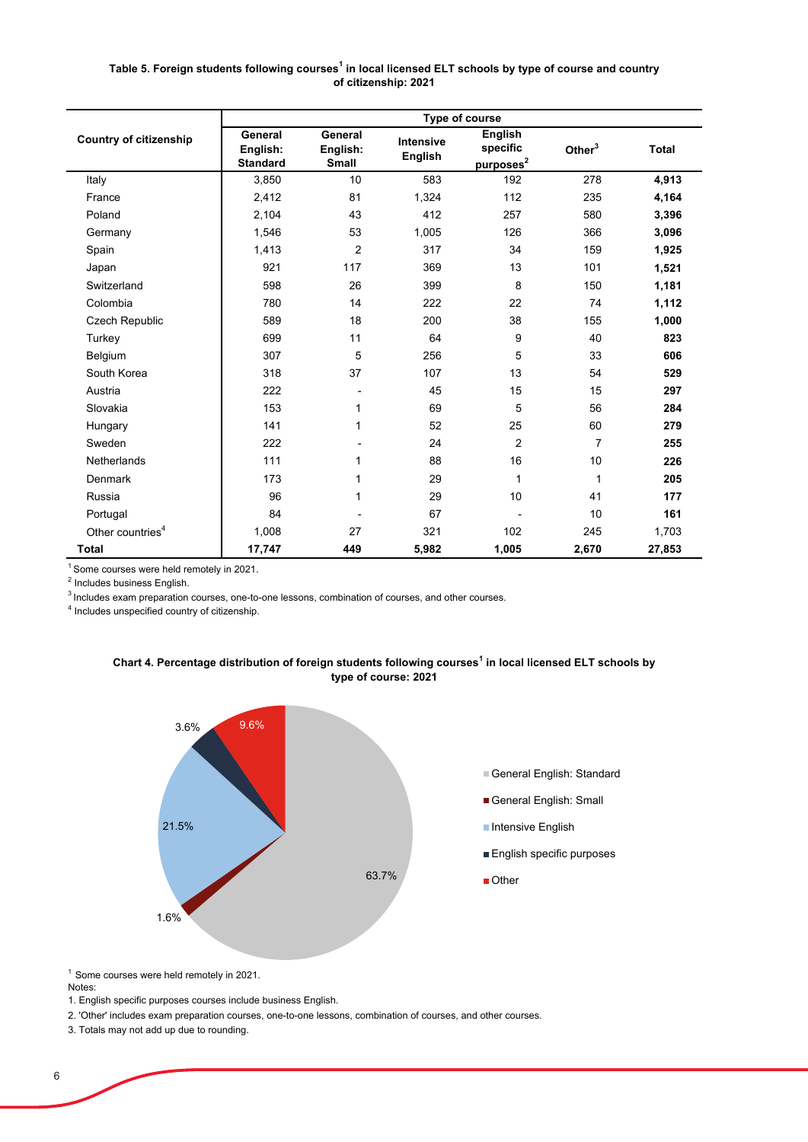### **Table 5. Foreign students following courses<sup>1</sup> in local licensed ELT schools by type of course and country of citizenship: 2021**

|                               |                                        |                              |                                    | Type of course                                      |                |              |
|-------------------------------|----------------------------------------|------------------------------|------------------------------------|-----------------------------------------------------|----------------|--------------|
| <b>Country of citizenship</b> | General<br>English:<br><b>Standard</b> | General<br>English:<br>Small | <b>Intensive</b><br><b>English</b> | <b>English</b><br>specific<br>purposes <sup>2</sup> | Other $3$      | <b>Total</b> |
| Italy                         | 3,850                                  | 10                           | 583                                | 192                                                 | 278            | 4,913        |
| France                        | 2,412                                  | 81                           | 1,324                              | 112                                                 | 235            | 4,164        |
| Poland                        | 2,104                                  | 43                           | 412                                | 257                                                 | 580            | 3,396        |
| Germany                       | 1,546                                  | 53                           | 1,005                              | 126                                                 | 366            | 3,096        |
| Spain                         | 1,413                                  | $\overline{2}$               | 317                                | 34                                                  | 159            | 1,925        |
| Japan                         | 921                                    | 117                          | 369                                | 13                                                  | 101            | 1,521        |
| Switzerland                   | 598                                    | 26                           | 399                                | 8                                                   | 150            | 1,181        |
| Colombia                      | 780                                    | 14                           | 222                                | 22                                                  | 74             | 1,112        |
| Czech Republic                | 589                                    | 18                           | 200                                | 38                                                  | 155            | 1,000        |
| Turkey                        | 699                                    | 11                           | 64                                 | 9                                                   | 40             | 823          |
| Belgium                       | 307                                    | 5                            | 256                                | 5                                                   | 33             | 606          |
| South Korea                   | 318                                    | 37                           | 107                                | 13                                                  | 54             | 529          |
| Austria                       | 222                                    |                              | 45                                 | 15                                                  | 15             | 297          |
| Slovakia                      | 153                                    | 1                            | 69                                 | 5                                                   | 56             | 284          |
| Hungary                       | 141                                    | 1                            | 52                                 | 25                                                  | 60             | 279          |
| Sweden                        | 222                                    |                              | 24                                 | $\overline{2}$                                      | $\overline{7}$ | 255          |
| Netherlands                   | 111                                    | 1                            | 88                                 | 16                                                  | 10             | 226          |
| Denmark                       | 173                                    | 1                            | 29                                 | 1                                                   | 1              | 205          |
| Russia                        | 96                                     | 1                            | 29                                 | 10                                                  | 41             | 177          |
| Portugal                      | 84                                     |                              | 67                                 |                                                     | 10             | 161          |
| Other countries <sup>4</sup>  | 1,008                                  | 27                           | 321                                | 102                                                 | 245            | 1,703        |
| <b>Total</b>                  | 17,747                                 | 449                          | 5,982                              | 1,005                                               | 2,670          | 27,853       |

 $<sup>1</sup>$  Some courses were held remotely in 2021.</sup>

<sup>2</sup> Includes business English.

<sup>3</sup> Includes exam preparation courses, one-to-one lessons, combination of courses, and other courses.

4 Includes unspecified country of citizenship.





<sup>1</sup> Some courses were held remotely in 2021.

Notes:

1. English specific purposes courses include business English.

2. 'Other' includes exam preparation courses, one-to-one lessons, combination of courses, and other courses.

3. Totals may not add up due to rounding.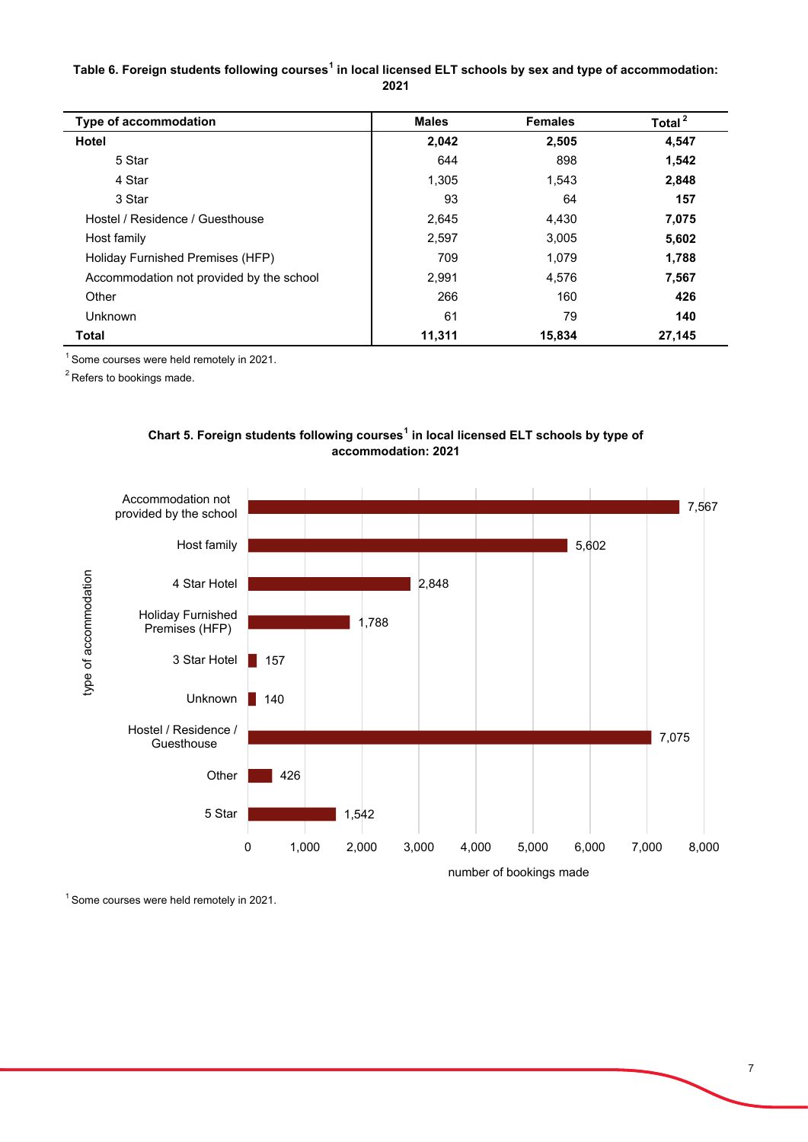## **Table 6. Foreign students following courses<sup>1</sup> in local licensed ELT schools by sex and type of accommodation: 2021**

| <b>Type of accommodation</b>             | <b>Males</b> | <b>Females</b> | Total <sup>2</sup> |
|------------------------------------------|--------------|----------------|--------------------|
| <b>Hotel</b>                             | 2,042        | 2,505          | 4,547              |
| 5 Star                                   | 644          | 898            | 1,542              |
| 4 Star                                   | 1.305        | 1,543          | 2,848              |
| 3 Star                                   | 93           | 64             | 157                |
| Hostel / Residence / Guesthouse          | 2,645        | 4,430          | 7,075              |
| Host family                              | 2,597        | 3,005          | 5,602              |
| Holiday Furnished Premises (HFP)         | 709          | 1,079          | 1,788              |
| Accommodation not provided by the school | 2,991        | 4,576          | 7,567              |
| Other                                    | 266          | 160            | 426                |
| Unknown                                  | 61           | 79             | 140                |
| <b>Total</b>                             | 11,311       | 15,834         | 27,145             |

1 Some courses were held remotely in 2021.

<sup>2</sup> Refers to bookings made.



# **Chart 5. Foreign students following courses<sup>1</sup> in local licensed ELT schools by type of accommodation: 2021**

<sup>1</sup> Some courses were held remotely in 2021.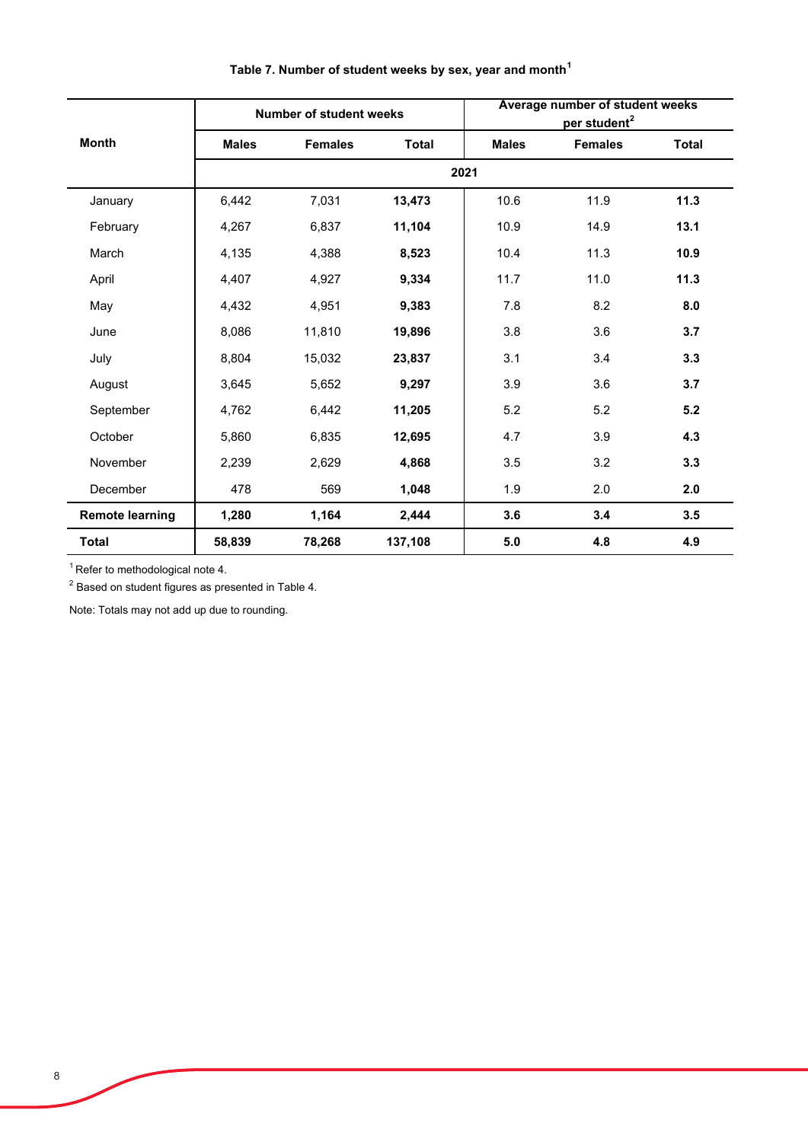|                        |              | <b>Number of student weeks</b> |              |              | Average number of student weeks<br>per student <sup>2</sup> |              |  |  |
|------------------------|--------------|--------------------------------|--------------|--------------|-------------------------------------------------------------|--------------|--|--|
| <b>Month</b>           | <b>Males</b> | <b>Females</b>                 | <b>Total</b> | <b>Males</b> | <b>Females</b>                                              | <b>Total</b> |  |  |
|                        |              |                                |              | 2021         |                                                             |              |  |  |
| January                | 6,442        | 7,031                          | 13,473       | 10.6         | 11.9                                                        | 11.3         |  |  |
| February               | 4,267        | 6,837                          | 11,104       | 10.9         | 14.9                                                        | 13.1         |  |  |
| March                  | 4,135        | 4,388                          | 8,523        | 10.4         | 11.3                                                        | 10.9         |  |  |
| April                  | 4,407        | 4,927                          | 9,334        | 11.7         | 11.0                                                        | 11.3         |  |  |
| May                    | 4,432        | 4,951                          | 9,383        | 7.8          | 8.2                                                         | 8.0          |  |  |
| June                   | 8,086        | 11,810                         | 19,896       | 3.8          | 3.6                                                         | 3.7          |  |  |
| July                   | 8,804        | 15,032                         | 23,837       | 3.1          | 3.4                                                         | 3.3          |  |  |
| August                 | 3,645        | 5,652                          | 9,297        | 3.9          | 3.6                                                         | 3.7          |  |  |
| September              | 4,762        | 6,442                          | 11,205       | 5.2          | 5.2                                                         | 5.2          |  |  |
| October                | 5,860        | 6,835                          | 12,695       | 4.7          | 3.9                                                         | 4.3          |  |  |
| November               | 2,239        | 2,629                          | 4,868        | 3.5          | 3.2                                                         | 3.3          |  |  |
| December               | 478          | 569                            | 1,048        | 1.9          | 2.0                                                         | 2.0          |  |  |
| <b>Remote learning</b> | 1,280        | 1,164                          | 2,444        | 3.6          | 3.4                                                         | 3.5          |  |  |
| <b>Total</b>           | 58,839       | 78,268                         | 137,108      | 5.0          | 4.8                                                         | 4.9          |  |  |

# **Table 7. Number of student weeks by sex, year and month<sup>1</sup>**

 $1$  Refer to methodological note 4.

 $^{\rm 2}$  Based on student figures as presented in Table 4.

Note: Totals may not add up due to rounding.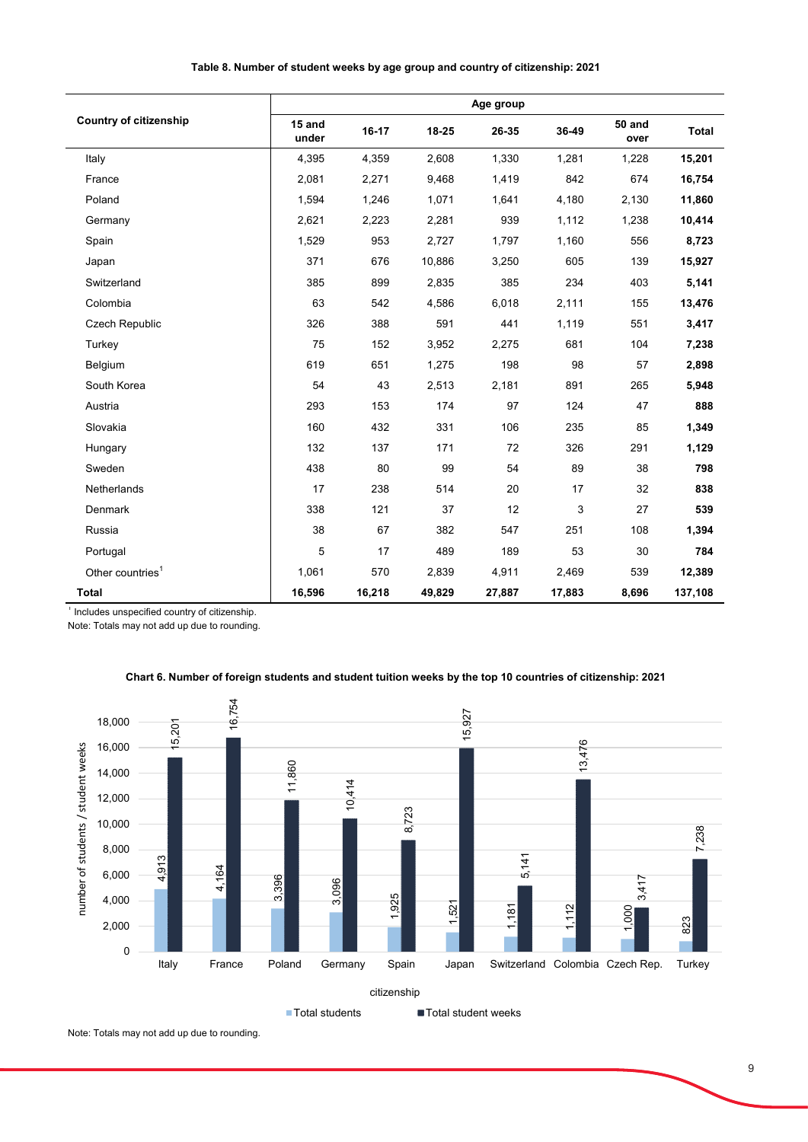|                               |                 |        |        | Age group |        |                       |              |
|-------------------------------|-----------------|--------|--------|-----------|--------|-----------------------|--------------|
| <b>Country of citizenship</b> | 15 and<br>under | 16-17  | 18-25  | 26-35     | 36-49  | <b>50 and</b><br>over | <b>Total</b> |
| Italy                         | 4,395           | 4,359  | 2,608  | 1,330     | 1,281  | 1,228                 | 15,201       |
| France                        | 2,081           | 2,271  | 9,468  | 1,419     | 842    | 674                   | 16,754       |
| Poland                        | 1,594           | 1,246  | 1,071  | 1,641     | 4,180  | 2,130                 | 11,860       |
| Germany                       | 2,621           | 2,223  | 2,281  | 939       | 1,112  | 1,238                 | 10,414       |
| Spain                         | 1,529           | 953    | 2,727  | 1,797     | 1,160  | 556                   | 8,723        |
| Japan                         | 371             | 676    | 10,886 | 3,250     | 605    | 139                   | 15,927       |
| Switzerland                   | 385             | 899    | 2,835  | 385       | 234    | 403                   | 5,141        |
| Colombia                      | 63              | 542    | 4,586  | 6,018     | 2,111  | 155                   | 13,476       |
| Czech Republic                | 326             | 388    | 591    | 441       | 1,119  | 551                   | 3,417        |
| Turkey                        | 75              | 152    | 3,952  | 2,275     | 681    | 104                   | 7,238        |
| Belgium                       | 619             | 651    | 1,275  | 198       | 98     | 57                    | 2,898        |
| South Korea                   | 54              | 43     | 2,513  | 2,181     | 891    | 265                   | 5,948        |
| Austria                       | 293             | 153    | 174    | 97        | 124    | 47                    | 888          |
| Slovakia                      | 160             | 432    | 331    | 106       | 235    | 85                    | 1,349        |
| Hungary                       | 132             | 137    | 171    | 72        | 326    | 291                   | 1,129        |
| Sweden                        | 438             | 80     | 99     | 54        | 89     | 38                    | 798          |
| <b>Netherlands</b>            | 17              | 238    | 514    | 20        | 17     | 32                    | 838          |
| Denmark                       | 338             | 121    | 37     | 12        | 3      | 27                    | 539          |
| Russia                        | 38              | 67     | 382    | 547       | 251    | 108                   | 1,394        |
| Portugal                      | 5               | 17     | 489    | 189       | 53     | 30                    | 784          |
| Other countries <sup>1</sup>  | 1,061           | 570    | 2,839  | 4,911     | 2,469  | 539                   | 12,389       |
| <b>Total</b>                  | 16,596          | 16,218 | 49,829 | 27,887    | 17,883 | 8,696                 | 137,108      |

### **Table 8. Number of student weeks by age group and country of citizenship: 2021**

<sup>1</sup> Includes unspecified country of citizenship.

Note: Totals may not add up due to rounding.

### **Chart 6. Number of foreign students and student tuition weeks by the top 10 countries of citizenship: 2021**



Note: Totals may not add up due to rounding.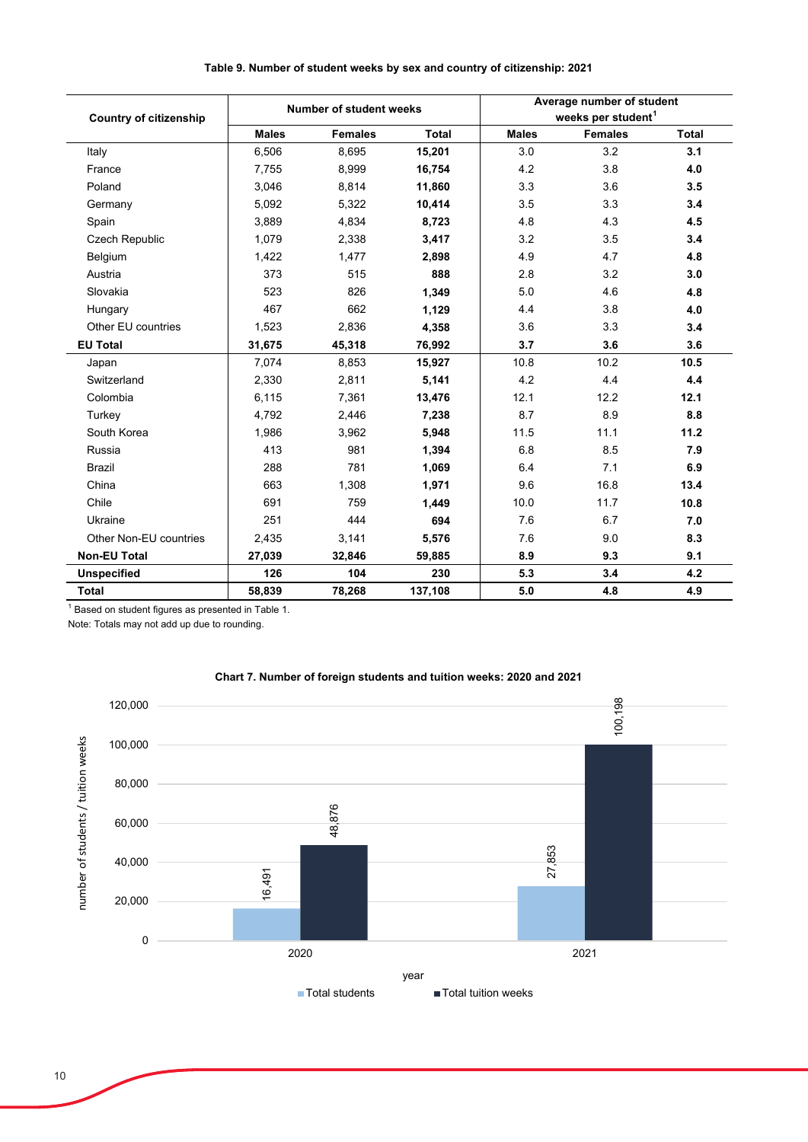|                               |              | <b>Number of student weeks</b> |              |              | Average number of student      |       |
|-------------------------------|--------------|--------------------------------|--------------|--------------|--------------------------------|-------|
| <b>Country of citizenship</b> |              |                                |              |              | weeks per student <sup>1</sup> |       |
|                               | <b>Males</b> | <b>Females</b>                 | <b>Total</b> | <b>Males</b> | <b>Females</b>                 | Total |
| Italy                         | 6,506        | 8,695                          | 15,201       | 3.0          | 3.2                            | 3.1   |
| France                        | 7,755        | 8,999                          | 16,754       | 4.2          | 3.8                            | 4.0   |
| Poland                        | 3.046        | 8.814                          | 11,860       | 3.3          | 3.6                            | 3.5   |
| Germany                       | 5,092        | 5,322                          | 10,414       | 3.5          | 3.3                            | 3.4   |
| Spain                         | 3,889        | 4,834                          | 8,723        | 4.8          | 4.3                            | 4.5   |
| Czech Republic                | 1,079        | 2,338                          | 3,417        | 3.2          | 3.5                            | 3.4   |
| Belgium                       | 1,422        | 1,477                          | 2,898        | 4.9          | 4.7                            | 4.8   |
| Austria                       | 373          | 515                            | 888          | 2.8          | 3.2                            | 3.0   |
| Slovakia                      | 523          | 826                            | 1,349        | 5.0          | 4.6                            | 4.8   |
| Hungary                       | 467          | 662                            | 1,129        | 4.4          | 3.8                            | 4.0   |
| Other EU countries            | 1,523        | 2,836                          | 4,358        | 3.6          | 3.3                            | 3.4   |
| <b>EU Total</b>               | 31,675       | 45,318                         | 76,992       | 3.7          | 3.6                            | 3.6   |
| Japan                         | 7,074        | 8,853                          | 15,927       | 10.8         | 10.2                           | 10.5  |
| Switzerland                   | 2,330        | 2,811                          | 5,141        | 4.2          | 4.4                            | 4.4   |
| Colombia                      | 6,115        | 7,361                          | 13,476       | 12.1         | 12.2                           | 12.1  |
| Turkey                        | 4,792        | 2,446                          | 7,238        | 8.7          | 8.9                            | 8.8   |
| South Korea                   | 1,986        | 3,962                          | 5,948        | 11.5         | 11.1                           | 11.2  |
| Russia                        | 413          | 981                            | 1,394        | 6.8          | 8.5                            | 7.9   |
| <b>Brazil</b>                 | 288          | 781                            | 1,069        | 6.4          | 7.1                            | 6.9   |
| China                         | 663          | 1,308                          | 1,971        | 9.6          | 16.8                           | 13.4  |
| Chile                         | 691          | 759                            | 1,449        | 10.0         | 11.7                           | 10.8  |
| Ukraine                       | 251          | 444                            | 694          | 7.6          | 6.7                            | 7.0   |
| Other Non-EU countries        | 2,435        | 3,141                          | 5,576        | 7.6          | 9.0                            | 8.3   |
| <b>Non-EU Total</b>           | 27,039       | 32,846                         | 59,885       | 8.9          | 9.3                            | 9.1   |
| <b>Unspecified</b>            | 126          | 104                            | 230          | 5.3          | 3.4                            | 4.2   |
| Total                         | 58,839       | 78,268                         | 137,108      | 5.0          | 4.8                            | 4.9   |

### **Table 9. Number of student weeks by sex and country of citizenship: 2021**

 $1$  Based on student figures as presented in Table 1.

Note: Totals may not add up due to rounding.



### **Chart 7. Number of foreign students and tuition weeks: 2020 and 2021**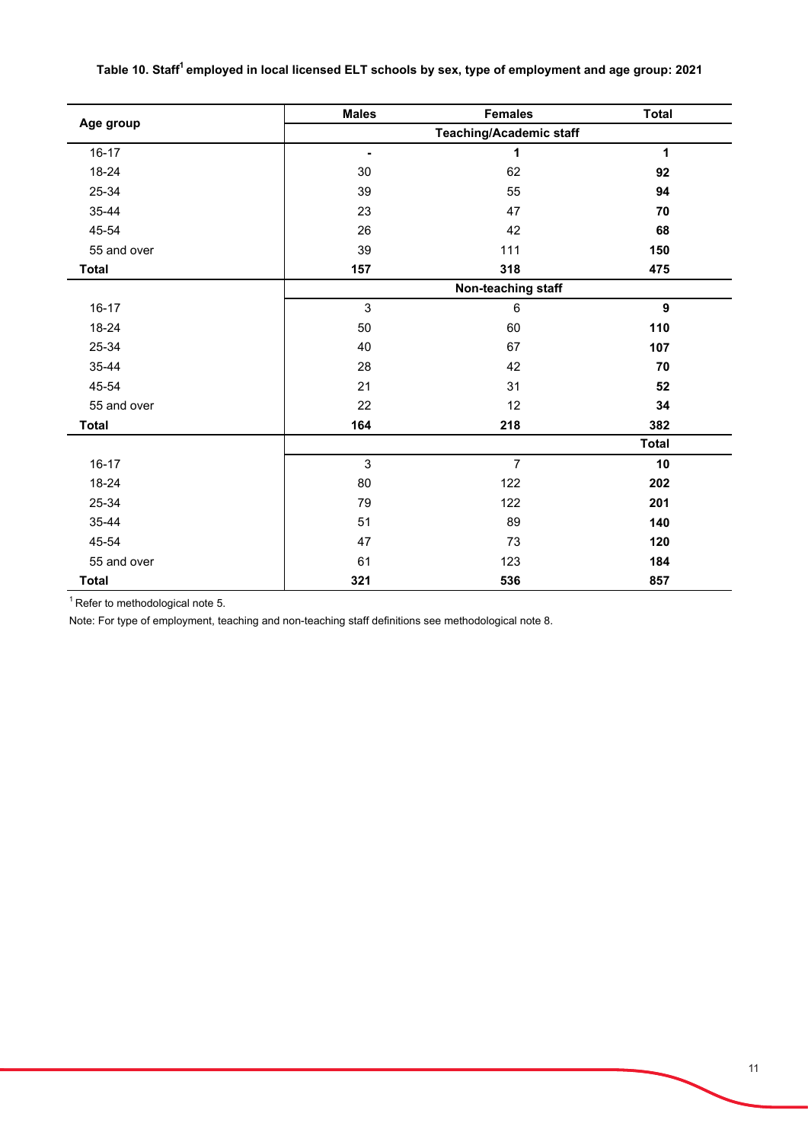# Table 10. Staff<sup>1</sup> employed in local licensed ELT schools by sex, type of employment and age group: 2021

|              | <b>Males</b>   | <b>Females</b>                                                | <b>Total</b>     |
|--------------|----------------|---------------------------------------------------------------|------------------|
| Age group    |                | <b>Teaching/Academic staff</b>                                |                  |
| $16 - 17$    | $\blacksquare$ | 1                                                             | $\mathbf{1}$     |
| 18-24        | 30             | 62                                                            | 92               |
| 25-34        | 39             | 55                                                            | 94               |
| 35-44        | 23             | 47                                                            | 70               |
| 45-54        | 26             | 42                                                            | 68               |
| 55 and over  | 39             | 111                                                           | 150              |
| <b>Total</b> | 157            | 318                                                           | 475              |
|              |                | Non-teaching staff                                            |                  |
| $16 - 17$    | $\mathbf{3}$   | 6                                                             | $\boldsymbol{9}$ |
| 18-24        | 50             | 60                                                            | 110              |
| 25-34        | 40             | 67                                                            | 107              |
| 35-44        | 28             | 42                                                            | 70               |
| 45-54        | 21             | 31                                                            | 52               |
| 55 and over  | 22             | 12                                                            | 34               |
| <b>Total</b> | 164            | 218<br>$\overline{7}$<br>122<br>122<br>89<br>73<br>123<br>536 | 382              |
|              |                |                                                               | <b>Total</b>     |
| $16 - 17$    | 3              |                                                               | 10               |
| 18-24        | 80             |                                                               | 202              |
| 25-34        | 79             |                                                               | 201              |
| 35-44        | 51             |                                                               | 140              |
| 45-54        | 47             |                                                               | 120              |
| 55 and over  | 61             |                                                               | 184              |
| <b>Total</b> | 321            |                                                               | 857              |

 $1$  Refer to methodological note 5.

Note: For type of employment, teaching and non-teaching staff definitions see methodological note 8.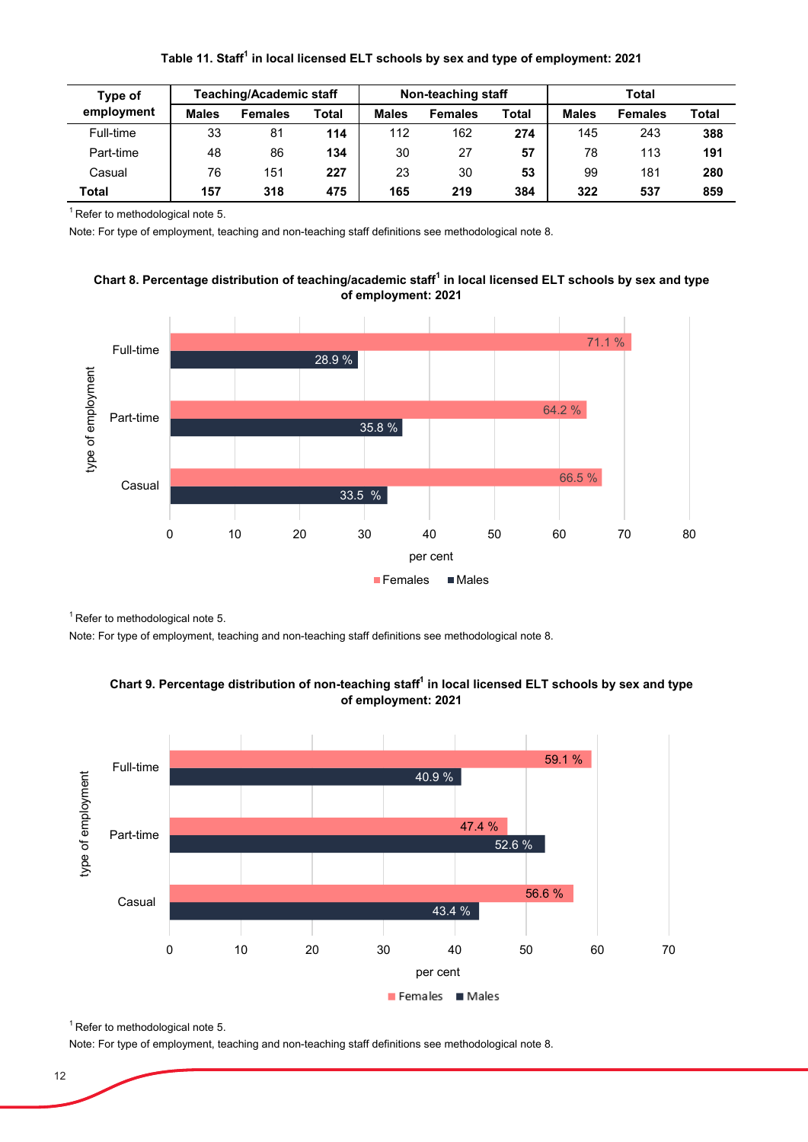| <b>Teaching/Academic staff</b><br>Type of |              |                | Non-teaching staff |              |                | <b>Total</b> |              |                |              |
|-------------------------------------------|--------------|----------------|--------------------|--------------|----------------|--------------|--------------|----------------|--------------|
| employment                                | <b>Males</b> | <b>Females</b> | <b>Total</b>       | <b>Males</b> | <b>Females</b> | <b>Total</b> | <b>Males</b> | <b>Females</b> | <b>Total</b> |
| Full-time                                 | 33           | 81             | 114                | 112          | 162            | 274          | 145          | 243            | 388          |
| Part-time                                 | 48           | 86             | 134                | 30           | 27             | 57           | 78           | 113            | 191          |
| Casual                                    | 76           | 151            | 227                | 23           | 30             | 53           | 99           | 181            | 280          |
| Total                                     | 157          | 318            | 475                | 165          | 219            | 384          | 322          | 537            | 859          |

 $1$  Refer to methodological note 5.

Note: For type of employment, teaching and non-teaching staff definitions see methodological note 8.





 $1$  Refer to methodological note 5.

Note: For type of employment, teaching and non-teaching staff definitions see methodological note 8.





 $1$  Refer to methodological note 5.

Note: For type of employment, teaching and non-teaching staff definitions see methodological note 8.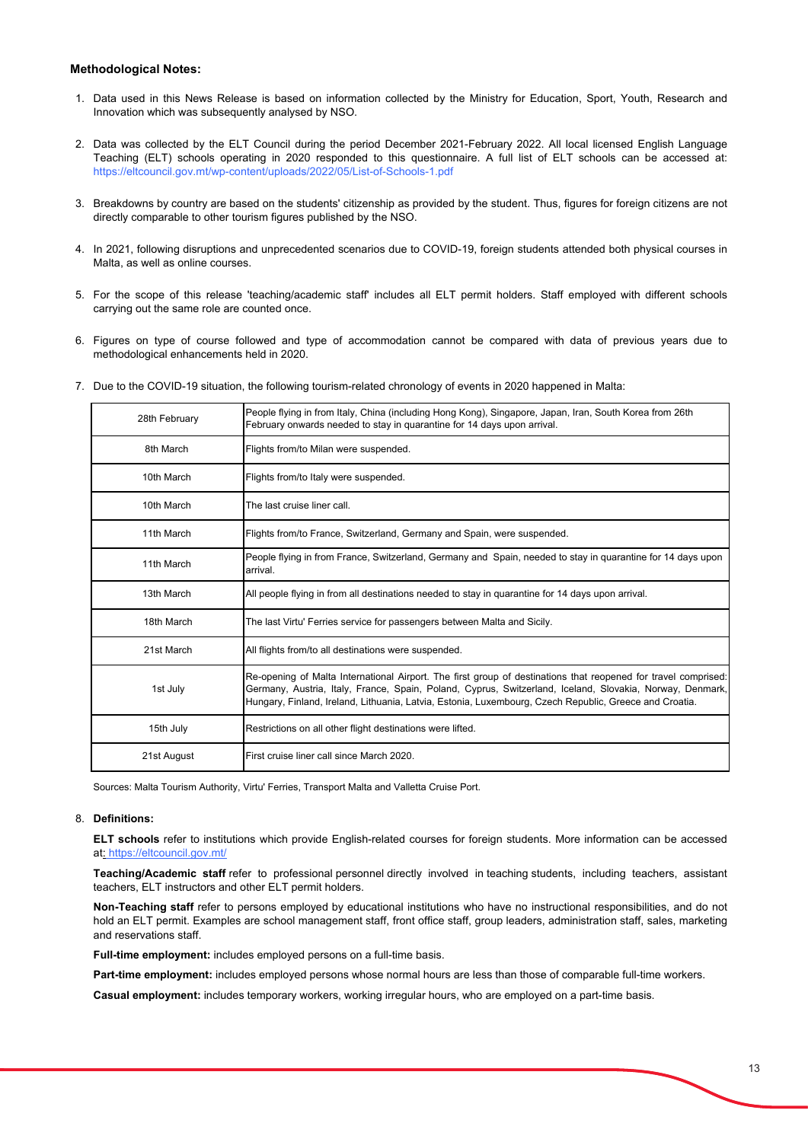### **Methodological Notes:**

- 1. Data used in this News Release is based on information collected by the Ministry for Education, Sport, Youth, Research and Innovation which was subsequently analysed by NSO.
- 2. Data was collected by the ELT Council during the period December 2021-February 2022. All local licensed English Language Teaching (ELT) schools operating in 2020 responded to this questionnaire. A full list of ELT schools can be accessed at: https://eltcouncil.gov.mt/wp-content/uploads/2022/05/List-of-Schools-1.pdf
- 3. Breakdowns by country are based on the students' citizenship as provided by the student. Thus, figures for foreign citizens are not directly comparable to other tourism figures published by the NSO.
- 4. In 2021, following disruptions and unprecedented scenarios due to COVID-19, foreign students attended both physical courses in Malta, as well as online courses.
- 5. For the scope of this release 'teaching/academic staff' includes all ELT permit holders. Staff employed with different schools carrying out the same role are counted once.
- 6. Figures on type of course followed and type of accommodation cannot be compared with data of previous years due to methodological enhancements held in 2020.
- 7. Due to the COVID-19 situation, the following tourism-related chronology of events in 2020 happened in Malta:

| 28th February | People flying in from Italy, China (including Hong Kong), Singapore, Japan, Iran, South Korea from 26th<br>February onwards needed to stay in quarantine for 14 days upon arrival.                                                                                                                                                   |
|---------------|--------------------------------------------------------------------------------------------------------------------------------------------------------------------------------------------------------------------------------------------------------------------------------------------------------------------------------------|
| 8th March     | Flights from/to Milan were suspended.                                                                                                                                                                                                                                                                                                |
| 10th March    | Flights from/to Italy were suspended.                                                                                                                                                                                                                                                                                                |
| 10th March    | The last cruise liner call.                                                                                                                                                                                                                                                                                                          |
| 11th March    | Flights from/to France, Switzerland, Germany and Spain, were suspended.                                                                                                                                                                                                                                                              |
| 11th March    | People flying in from France, Switzerland, Germany and Spain, needed to stay in quarantine for 14 days upon<br>arrival.                                                                                                                                                                                                              |
| 13th March    | All people flying in from all destinations needed to stay in quarantine for 14 days upon arrival.                                                                                                                                                                                                                                    |
| 18th March    | The last Virtu' Ferries service for passengers between Malta and Sicily.                                                                                                                                                                                                                                                             |
| 21st March    | All flights from/to all destinations were suspended.                                                                                                                                                                                                                                                                                 |
| 1st July      | Re-opening of Malta International Airport. The first group of destinations that reopened for travel comprised:<br>Germany, Austria, Italy, France, Spain, Poland, Cyprus, Switzerland, Iceland, Slovakia, Norway, Denmark,<br>Hungary, Finland, Ireland, Lithuania, Latvia, Estonia, Luxembourg, Czech Republic, Greece and Croatia. |
| 15th July     | Restrictions on all other flight destinations were lifted.                                                                                                                                                                                                                                                                           |
| 21st August   | First cruise liner call since March 2020.                                                                                                                                                                                                                                                                                            |

Sources: Malta Tourism Authority, Virtu' Ferries, Transport Malta and Valletta Cruise Port.

#### 8. **Definitions:**

**ELT schools** refer to institutions which provide English-related courses for foreign students. More information can be accessed at: https://eltcouncil.gov.mt/

**Teaching/Academic staff** refer to professional personnel directly involved in teaching students, including teachers, assistant teachers, ELT instructors and other ELT permit holders.

**Non-Teaching staff** refer to persons employed by educational institutions who have no instructional responsibilities, and do not hold an ELT permit. Examples are school management staff, front office staff, group leaders, administration staff, sales, marketing and reservations staff.

**Full-time employment:** includes employed persons on a full-time basis.

**Part-time employment:** includes employed persons whose normal hours are less than those of comparable full-time workers.

**Casual employment:** includes temporary workers, working irregular hours, who are employed on a part-time basis.